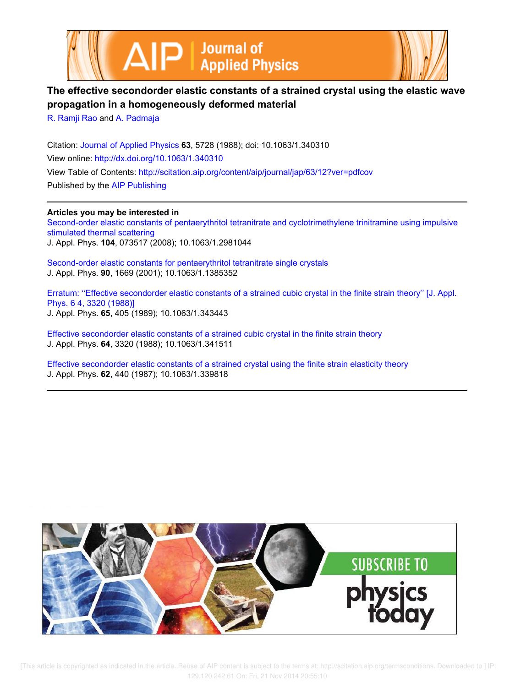



# **The effective secondorder elastic constants of a strained crystal using the elastic wave propagation in a homogeneously deformed material**

R. Ramji Rao and A. Padmaja

Citation: Journal of Applied Physics **63**, 5728 (1988); doi: 10.1063/1.340310 View online: http://dx.doi.org/10.1063/1.340310 View Table of Contents: http://scitation.aip.org/content/aip/journal/jap/63/12?ver=pdfcov Published by the AIP Publishing

**Articles you may be interested in**

Second-order elastic constants of pentaerythritol tetranitrate and cyclotrimethylene trinitramine using impulsive stimulated thermal scattering J. Appl. Phys. **104**, 073517 (2008); 10.1063/1.2981044

Second-order elastic constants for pentaerythritol tetranitrate single crystals J. Appl. Phys. **90**, 1669 (2001); 10.1063/1.1385352

Erratum: "Effective secondorder elastic constants of a strained cubic crystal in the finite strain theory" [J. Appl. Phys. 6 4, 3320 (1988)] J. Appl. Phys. **65**, 405 (1989); 10.1063/1.343443

Effective secondorder elastic constants of a strained cubic crystal in the finite strain theory J. Appl. Phys. **64**, 3320 (1988); 10.1063/1.341511

Effective secondorder elastic constants of a strained crystal using the finite strain elasticity theory J. Appl. Phys. **62**, 440 (1987); 10.1063/1.339818



[This article is copyrighted as indicated in the article. Reuse of AIP content is subject to the terms at: http://scitation.aip.org/termsconditions. Downloaded to ] IP: 129.120.242.61 On: Fri, 21 Nov 2014 20:55:10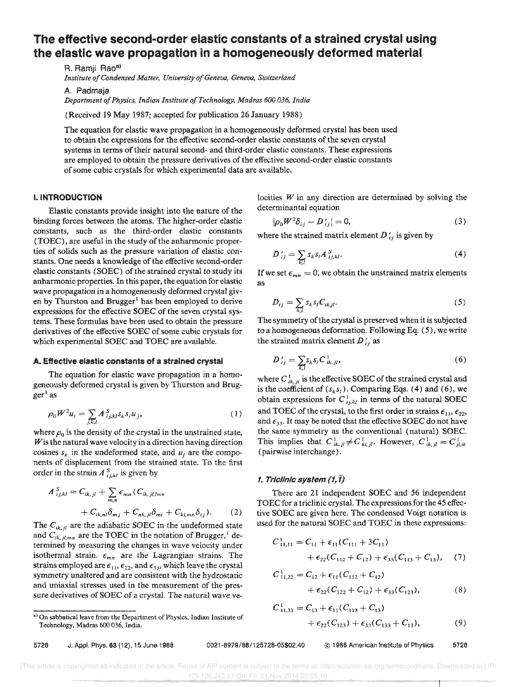# The effective second-order eiastic constants of a strained crystal using the elastic wave propagation in a homogeneously deformed material

R. Ramji Rao<sup>a)</sup> *Institute of Condensed Matter, University of Geneva, Geneva, Switzerland* 

A. Padmaja *Department of Physics, Indian Institute of Technology, Madras 600 036, India* 

(Received 19 May 1987; accepted for publication 26 January 1988)

The equation for elastic wave propagation in a homogeneously deformed crystal has been used to obtain the expressions for the effective second-order elastic constants of the seven crystal systems in terms of their natural second- and third-order elastic constants. These expressions are employed to obtain the pressure derivatives of the effective second-order elastic constants of some cubic crystals for which experimental data are available.

#### I. INTRODUCTION

Elastic constants provide insight into the nature of the binding forces between the atoms. The higher-order elastic constants, such as the third-order elastic constants (TOEC), are useful in the study of the anharmonic properties of solids such as the pressure variation of elastic constants. One needs a knowledge of the effective second-order elastic constants (SOEC) of the strained crystal to study its anharmonic properties. In this paper, the equation for elastic wave propagation in a homogeneously deformed crystal given by Thurston and Brugger<sup>1</sup> has been employed to derive expressions for the effective SOEC of the seven crystal systems. These formulas have been used to obtain the pressure derivatives of the effective SOEC of some cubic crystals for which experimental SOEC and TOEC are available.

#### A. Effective elastic constants of a strained crystal

The equation for elastic wave propagation in a homogeneously deformed crystal is given by Thurston and Brug $ger<sup>1</sup>$  as

$$
\rho_0 W^2 u_i = \sum_{j,k,l} A^S_{ijkl} s_k s_l u_j,\tag{1}
$$

where  $\rho_0$  is the density of the crystal in the unstrained state, *Wis* the natural wave velocity in a direction having direction cosines  $s_k$  in the undeformed state, and  $u_j$  are the components of displacement from the strained state. To the first order in the strain  $A^{S}$ <sub>*i*,*kl*</sub> is given by

$$
A_{i,j,kl}^S = C_{ik,jl} + \sum_{m,n} \epsilon_{mn} (C_{ik,jl,lmn} + C_{ik,nl} \delta_{mj} + C_{nk,jl} \delta_{mi} + C_{kl,mn} \delta_{ij}).
$$
 (2)

The  $C_{ik,jl}$  are the adiabatic SOEC in the undeformed state and  $C_{ik,jl,mn}$  are the TOEC in the notation of Brugger,<sup>1</sup> determined by measuring the changes in wave velocity under isothermal strain,  $\epsilon_{mn}$  are the Lagrangian strains. The strains employed are  $\epsilon_{11}$ ,  $\epsilon_{22}$ , and  $\epsilon_{33}$ , which leave the crystal symmetry unaltered and are consistent with the hydrostatic and uniaxial stresses used in the measurement of the pressure derivatives of SOEC of a crystal. The natural wave velocities  $W$  in any direction are determined by solving the determinantal equation

$$
|\rho_0 W^2 \delta_{ij} - D'_{ij}| = 0,
$$
 (3)

where the strained matrix element  $D_i$  is given by

$$
D'_{ij} = \sum_{k,l} s_k s_l A^{S}_{ijkl}.
$$
 (4)

If we set  $\epsilon_{mn} = 0$ , we obtain the unstrained matrix elements as

$$
D_{ij} = \sum_{k,l} s_k s_l C_{ikjl}.
$$
 (5)

The symmetry of the crystal is preserved when it is subjected to a homogeneous deformation, Following Eq. (5), we write the strained matrix element *D :j* as

$$
D'_{ij} = \sum_{k,l} s_k s_l C^1_{ik,jl},
$$
 (6)

where  $C_{ik,j}^i$  is the effective SOEC of the strained crystal and is the coefficient of  $(s_k s_l)$ . Comparing Eqs. (4) and (6), we obtain expressions for  $C_{ijkl}^1$  in terms of the natural SOEC and TOEC of the crystal, to the first order in strains  $\epsilon_{11}, \epsilon_{22}$ , and  $\epsilon_{33}$ . It may be noted that the effective SOEC do not have the same symmetry as the conventional (natural) SOEC. This implies that  $C_{ik,jl}^1 \neq C_{ki,jl}^1$ . However,  $C_{ik,jl}^1 = C_{jl,k}^1$ (pairwise interchange).

#### *1. Triclinic system* (1, *lJ*

There are 21 independent SOEC and 56 independent TOEC for a tridinic crystal. The expressions for the 45 effective SOEC are given here. The condensed Voigt notation is used for the natural SOEC and TOEC in these expressions:

$$
C_{11,11}^1 = C_{11} + \epsilon_{11}(C_{111} + 3C_{11})
$$
  
+  $\epsilon_{22}(C_{112} + C_{12}) + \epsilon_{33}(C_{113} + C_{13}),$  (7)

$$
C_{11,22}^1 = C_{12} + \epsilon_{11}(C_{112} + C_{12})
$$
  
+  $\epsilon_{22}(C_{122} + C_{12}) + \epsilon_{33}(C_{123}),$  (8)

$$
C_{11,33}^1 = C_{13} + \epsilon_{11}(C_{113} + C_{13})
$$
  
+  $\epsilon_{22}(C_{123}) + \epsilon_{33}(C_{133} + C_{13}),$  (9)

a) On sabbatical leave from the Department of Physics, Indian Institute of Technology, Madras 600 036, India.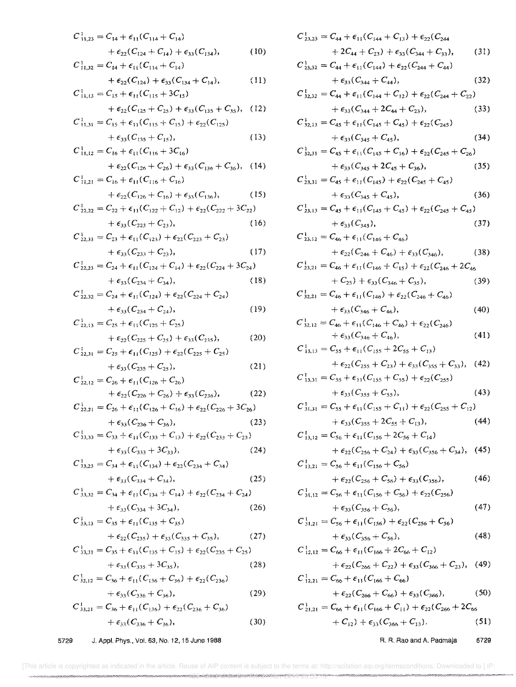$$
C_{11,23}^1 = C_{14} + \epsilon_{11}(C_{114} + C_{14})
$$
  
+  $\epsilon_{22}(C_{124} + C_{14}) + \epsilon_{33}(C_{134}),$  (10)  

$$
C_{11,32}^1 = C_{14} + \epsilon_{11}(C_{114} + C_{14})
$$
  
+  $\epsilon_{22}(C_{124}) + \epsilon_{33}(C_{134} + C_{14}),$  (11)  

$$
C_{11,13}^1 = C_{15} + \epsilon_{11}(C_{115} + 3C_{15})
$$

 $\sim$ 1

+ 
$$
\epsilon_{22}(C_{125} + C_{25}) + \epsilon_{33}(C_{135} + C_{35}),
$$
 (12)  
 $C_{11,33}^1 = C_{15} + \epsilon_{13}(C_{135} + C_{25}) + \epsilon_{22}(C_{125})$ 

$$
+ \epsilon_{33}(C_{135} + C_{15}), \qquad (13)
$$

$$
C_{11,12}^{1} = C_{16} + \epsilon_{11}(C_{116} + 3C_{16})
$$
  
+  $\epsilon_{22}(C_{126} + C_{26}) + \epsilon_{33}(C_{136} + C_{36}),$  (14)  

$$
C_{11,21}^{1} = C_{16} + \epsilon_{11}(C_{116} + C_{16})
$$
  
+  $\epsilon_{22}(C_{126} + C_{16}) + \epsilon_{33}(C_{136}),$  (15)

$$
C_{22,22}^1 = C_{22} + \epsilon_{11}(C_{122} + C_{12}) + \epsilon_{22}(C_{222} + 3C_{22})
$$
  
+  $\epsilon_{33}(C_{223} + C_{23}),$  (16)

$$
C_{22,33}^{1} = C_{23} + \epsilon_{11}(C_{123}) + \epsilon_{22}(C_{223} + C_{23}) + \epsilon_{33}(C_{233} + C_{23}),
$$
\n(17)

$$
C_{22,23}^1 = C_{24} + \epsilon_{11}(C_{124} + C_{14}) + \epsilon_{22}(C_{224} + 3C_{24})
$$
  
+  $\epsilon_{33}(C_{234} + C_{34}),$  (18)

$$
C_{22,32}^1 = C_{24} + \epsilon_{11}(C_{124}) + \epsilon_{22}(C_{224} + C_{24})
$$
  
+  $\epsilon_{33}(C_{234} + C_{24}),$  (19)

$$
C_{22,13}^1 = C_{25} + \epsilon_{11}(C_{125} + C_{25})
$$
  
+  $\epsilon_{22}(C_{225} + C_{25}) + \epsilon_{33}(C_{235}),$  (20)

$$
C_{22,31}^1 = C_{25} + \epsilon_{11}(C_{125}) + \epsilon_{22}(C_{225} + C_{25}) + \epsilon_{33}(C_{235} + C_{25}),
$$
 (21)

$$
C_{22,12}^1 = C_{26} + \epsilon_{11}(C_{126} + C_{26}) + \epsilon_{22}(C_{226} + C_{26}) + \epsilon_{33}(C_{236}),
$$
 (22)

$$
C_{22,21}^1 = C_{26} + \epsilon_{11}(C_{126} + C_{16}) + \epsilon_{22}(C_{226} + 3C_{26})
$$
  
+  $\epsilon_{33}(C_{236} + C_{36}),$  (23)

$$
C_{33,33}^1 = C_{33} + \epsilon_{11}(C_{133} + C_{13}) + \epsilon_{22}(C_{233} + C_{23}) + \epsilon_{33}(C_{333} + 3C_{33}),
$$
\n(24)

$$
C_{33,23}^1 = C_{34} + \epsilon_{11}(C_{134}) + \epsilon_{22}(C_{234} + C_{34}) + \epsilon_{33}(C_{334} + C_{34}),
$$
\n(25)

$$
C_{33,32}^1 = C_{34} + \epsilon_{11} (C_{134} + C_{14}) + \epsilon_{22} (C_{234} + C_{24}) + \epsilon_{33} (C_{334} + 3C_{34}),
$$
\n(26)

$$
C_{33,13}^1 = C_{35} + \epsilon_{11}(C_{135} + C_{35})
$$
  
+  $\epsilon_{22}(C_{235}) + \epsilon_{33}(C_{335} + C_{35}),$  (27)

$$
C_{33,31}^{1} = C_{35} + \epsilon_{11}(C_{135} + C_{15}) + \epsilon_{22}(C_{235} + C_{25}) + \epsilon_{33}(C_{335} + 3C_{35}),
$$
\n(28)

$$
C_{32,12}^1 = C_{36} + \epsilon_{11}(C_{136} + C_{36}) + \epsilon_{22}(C_{236}) + \epsilon_{33}(C_{336} + C_{36}),
$$
\n(29)

$$
C_{33,21}^1 = C_{36} + \epsilon_{11}(C_{136}) + \epsilon_{22}(C_{236} + C_{36}) + \epsilon_{33}(C_{336} + C_{36}),
$$
 (30)

$$
C_{2,3,23}^{1} = C_{44} + \epsilon_{11}(C_{144} + C_{13}) + \epsilon_{22}(C_{244} + 2C_{33})
$$
\n
$$
C_{2,3,32}^{1} = C_{44} + \epsilon_{11}(C_{144}) + \epsilon_{22}(C_{244} + C_{44})
$$
\n
$$
+ \epsilon_{33}(C_{344} + C_{44})
$$
\n
$$
+ \epsilon_{33}(C_{344} + C_{44})
$$
\n
$$
C_{3,2,22}^{1} = C_{44} + \epsilon_{11}(C_{144} + C_{12}) + \epsilon_{22}(C_{244} + C_{22})
$$
\n
$$
+ \epsilon_{33}(C_{344} + 2C_{44} + C_{23}),
$$
\n
$$
C_{3,2,13}^{1} = C_{45} + \epsilon_{11}(C_{145} + C_{45}) + \epsilon_{22}(C_{245})
$$
\n
$$
+ \epsilon_{33}(C_{345} + C_{45}),
$$
\n
$$
C_{3,2,11}^{1} = C_{45} + \epsilon_{11}(C_{145} + C_{16}) + \epsilon_{22}(C_{245} + C_{26})
$$
\n
$$
+ \epsilon_{33}(C_{345} + 2C_{45}),
$$
\n
$$
C_{3,3,11}^{1} = C_{45} + \epsilon_{11}(C_{145}) + \epsilon_{22}(C_{245} + C_{45})
$$
\n
$$
+ \epsilon_{33}(C_{345} + C_{35}),
$$
\n
$$
C_{3,3,12}^{1} = C_{45} + \epsilon_{11}(C_{145}) + \epsilon_{22}(C_{245} + C_{45})
$$
\n
$$
+ \epsilon_{33}(C_{345} + C_{35}),
$$
\n
$$
C_{3,13}^{1} = C_{45} + \epsilon_{11}(C_{145} + C_{45}) + \epsilon_{22}(C_{245} + C_{45})
$$
\n
$$
+ \epsilon_{33}(C_{345} + C_{45}),
$$
\n
$$
C_{3,12}^{1} = C_{
$$

R. R. Rao and A. Padmaja 5729

[This article is copyrighted as indicated in the article. Reuse of AIP content is subject to the terms at: http://scitation.aip.org/termsconditions. Downloaded to ] IP: n om angere en gemeente van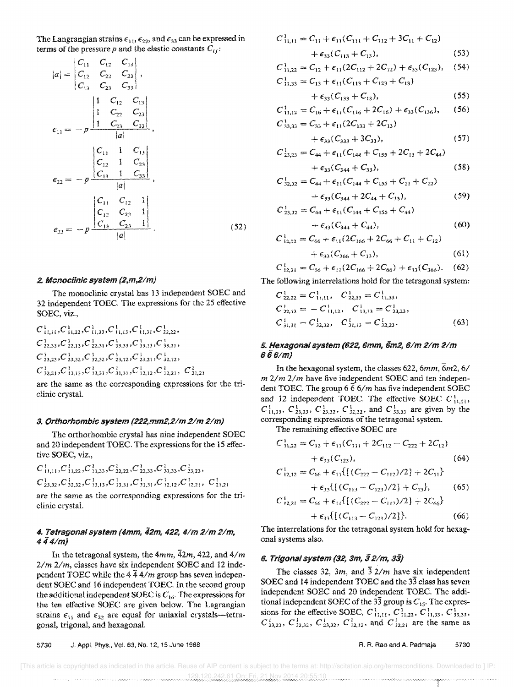The Langrangian strains  $\epsilon_{11}$ ,  $\epsilon_{22}$ , and  $\epsilon_{33}$  can be expressed in terms of the pressure  $p$  and the elastic constants  $C_{ij}$ :

$$
|a| = \begin{vmatrix} C_{11} & C_{12} & C_{13} \\ C_{12} & C_{22} & C_{23} \\ C_{13} & C_{23} & C_{33} \end{vmatrix},
$$
  
\n
$$
\epsilon_{11} = -p \frac{\begin{vmatrix} 1 & C_{12} & C_{13} \\ 1 & C_{22} & C_{23} \\ 1 & C_{23} & C_{33} \end{vmatrix}}{\begin{vmatrix} |a| \end{vmatrix}},
$$
  
\n
$$
\epsilon_{22} = -p \frac{\begin{vmatrix} C_{11} & 1 & C_{13} \\ C_{12} & 1 & C_{23} \\ C_{13} & 1 & C_{33} \end{vmatrix}}{\begin{vmatrix} |a| \end{vmatrix}},
$$
  
\n
$$
\epsilon_{33} = -p \frac{\begin{vmatrix} C_{11} & C_{12} & 1 \\ C_{13} & C_{22} & 1 \\ C_{13} & C_{23} & 1 \end{vmatrix}}{\begin{vmatrix} |a| \end{vmatrix}}.
$$
 (52)

#### 2. Monoclinic system (2,m,2/m)

The monoclinic crystal has 13 independent SOEC and 32 independent TOEC. The expressions for the 25 effective SOEC, viz.,

$$
C_{11,11}^{1}, C_{11,22}^{1}, C_{11,33}^{1}, C_{11,13}^{1}, C_{11,31}^{1}, C_{22,22}^{1},
$$
  
\n
$$
C_{22,33}^{1}, C_{22,13}^{1}, C_{22,31}^{1}, C_{33,33}^{1}, C_{33,13}^{1}, C_{33,31}^{1},
$$
  
\n
$$
C_{23,23}^{3}, C_{23,32}^{1}, C_{32,32}^{1}, C_{23,12}^{1}, C_{23,21}^{1}, C_{32,12}^{1}, C_{32,12}^{1},
$$
  
\n
$$
C_{32,21}^{1}, C_{13,13}^{1}, C_{13,31}^{1}, C_{31,31}^{1}, C_{12,12}^{1}, C_{12,21}^{1}, C_{21,21}^{1}
$$

are the same as the corresponding expressions for the triclinic crystal.

#### 3. Orthorhombic system (222,mm2,2/m 2/m 2/m)

The orthorhombic crystal has nine independent SOEC and 20 independent TOEC. The expressions for the 15 effective SOEC, viz.,

 $C_{11,11}^1, C_{11,22}^1, C_{11,33}^1, C_{22,22}^1, C_{22,33}^1, C_{33,33}^1, C_{23,23}^1,$  $C_{23,32}^1, C_{32,32}^1, C_{13,13}^1, C_{13,31}^1, C_{31,31}^1, C_{12,12}^1, C_{12,21}^1, C_{21,21}^1$ 

are the same as the corresponding expressions for the triclinic crystal.

## 4. Tetragonal system (4mm, 42m, 422, 4/m 2/m 2/m,  $444/m$

In the tetragonal system, the  $4mm$ ,  $\overline{4}2m$ , 422, and  $4/m$  $2/m$   $2/m$ , classes have six independent SOEC and 12 independent TOEC while the  $4\bar{4}$  4/m group has seven independent SOEC and 16 independent TOEC. In the second group the additional independent SOEC is  $C_{16}$ . The expressions for the ten effective SOEC are given below. The Lagrangian strains  $\epsilon_{11}$  and  $\epsilon_{22}$  are equal for uniaxial crystals-tetragonal, trigonal, and hexagonal.

$$
C_{11,11}^1 = C_{11} + \epsilon_{11}(C_{111} + C_{112} + 3C_{11} + C_{12})
$$
  
+  $\epsilon_{33}(C_{113} + C_{13}),$  (53)

$$
C_{11,22}^1 = C_{12} + \epsilon_{11}(2C_{112} + 2C_{12}) + \epsilon_{33}(C_{123}), \quad (54)
$$

$$
C_{11,33}^1 = C_{13} + \epsilon_{11}(C_{113} + C_{123} + C_{13})
$$

$$
+\epsilon_{33}(C_{133}+C_{13}),\t\t(55)
$$

$$
C_{11,12}^1 = C_{16} + \epsilon_{11}(C_{116} + 2C_{16}) + \epsilon_{33}(C_{136}), \quad (56)
$$

$$
C_{33,33}^1 = C_{33} + \epsilon_{11}(2C_{133} + 2C_{13})
$$

$$
+\epsilon_{33}(C_{333}+3C_{33}),\tag{57}
$$

$$
C_{23,23}^1 = C_{44} + \epsilon_{11}(C_{144} + C_{155} + 2C_{13} + 2C_{44})
$$

 $\overline{C}$ 

 $\overline{C}$ 

$$
+ \epsilon_{33}(C_{344} + C_{33}), \qquad (58)
$$

$$
C_{32,32}^1 = C_{44} + \epsilon_{11}(C_{144} + C_{155} + C_{11} + C_{12})
$$
  
+ 
$$
\epsilon_{33}(C_{344} + 2C_{44} + C_{13}),
$$
 (59)

$$
C_{23,32}^1 = C_{44} + \epsilon_{11}(C_{144} + C_{155} + C_{44})
$$
  
+  $\epsilon_{33}(C_{344} + C_{44}),$  (60)

$$
C_{12,12}^1 = C_{66} + \epsilon_{11}(2C_{166} + 2C_{66} + C_{11} + C_{12})
$$

$$
+ \epsilon_{33}(C_{366} + C_{13}), \qquad (61)
$$

$$
C_{12,21}^1 = C_{66} + \epsilon_{11}(2C_{166} + 2C_{66}) + \epsilon_{33}(C_{366}).
$$
 (62)

The following interrelations hold for the tetragonal system:

$$
C_{22,22}^1 = C_{11,11}^1, \quad C_{22,33}^1 = C_{11,33}^1,
$$
  
\n
$$
C_{22,12}^1 = -C_{11,12}^1, \quad C_{13,13}^1 = C_{23,23}^1,
$$
  
\n
$$
C_{31,31}^1 = C_{32,32}^1, \quad C_{31,13}^1 = C_{32,23}^1.
$$
\n(63)

### 5. Hexagonal system (622, 6mm, 6m2, 6/m 2/m 2/m 6 6 6/m)

In the hexagonal system, the classes 622,  $6mm$ ,  $\overline{6m2}$ ,  $6/$  $m$  2/m 2/m have five independent SOEC and ten independent TOEC. The group 6  $\overline{6}$  6/m has five independent SOEC and 12 independent TOEC. The effective SOEC  $C_{11,11}^1$ ,  $C_{11,33}^1$ ,  $C_{23,23}^1$ ,  $C_{23,32}^1$ ,  $C_{32,32}^1$ , and  $C_{33,33}^1$  are given by the corresponding expressions of the tetragonal system.

The remaining effective SOEC are

$$
C_{11,22}^1 = C_{12} + \epsilon_{11}(C_{111} + 2C_{112} - C_{222} + 2C_{12})
$$
  
+ 
$$
\epsilon_{21}(C_{123}),
$$
 (64)

$$
C_{12,12}^1 = C_{66} + \epsilon_{11}\{[(C_{222} - C_{112})/2] + 2C_{11}\}\
$$

$$
+\epsilon_{33}\{[(C_{113}-C_{123})/2]+C_{13}\},\qquad(65)
$$

$$
C_{12,21}^1 = C_{66} + \epsilon_{11} \{ [(C_{222} - C_{112})/2] + 2C_{66} \} + \epsilon_{33} \{ [(C_{113} - C_{123})/2] \}.
$$
 (66)

The interrelations for the tetragonal system hold for hexagonal systems also.

#### 6. Trigonal system (32, 3m, 3 2/m, 33)

The classes 32, 3m, and  $\overline{3}$  2/m have six independent SOEC and 14 independent TOEC and the 33 class has seven independent SOEC and 20 independent TOEC. The additional independent SOEC of the 33 group is  $C_{15}$ . The expressions for the effective SOEC,  $C_{11,11}^1$ ,  $C_{11,22}^1$ ,  $C_{11,33}^1$ ,  $C_{33,33}^1$ ,  $C_{23,23}^1$ ,  $C_{32,32}^1$ ,  $C_{23,32}^1$ ,  $C_{23,32}^1$ ,  $C_{12,12}^1$ , and  $C_{12,21}^1$  are the same as

5730 J. Appl. Phys., Vol. 63, No. 12, 15 June 1988 R. R. Rao and A. Padmaja 5730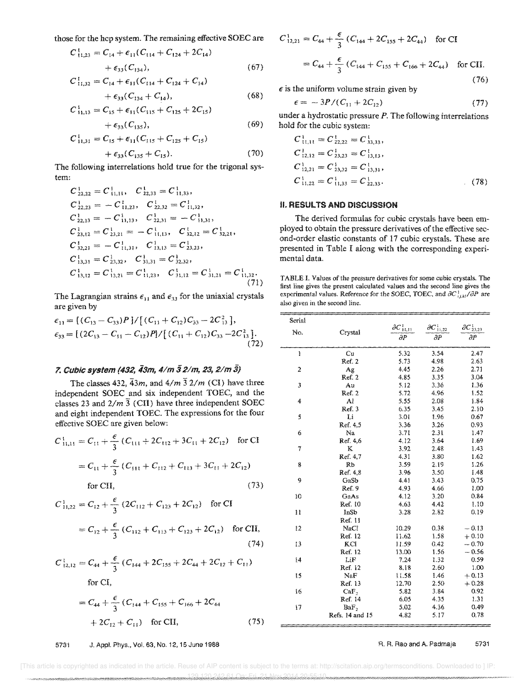those for the hcp system. The remaining effective SOEC are

$$
C_{11,23}^1 = C_{14} + \epsilon_{11}(C_{114} + C_{124} + 2C_{14}) + \epsilon_{33}(C_{134}),
$$
\n(67)

$$
C_{11,32}^1 = C_{14} + \epsilon_{11}(C_{114} + C_{124} + C_{14})
$$

+ 
$$
\epsilon_{33}(C_{134} + C_{14}),
$$
 (68)  
 $C_{11,13}^1 = C_{15} + \epsilon_{11}(C_{115} + C_{125} + 2C_{15})$ 

$$
+\epsilon_{33}(C_{135}),\qquad \qquad (69)
$$

$$
C_{11,31}^1 = C_{15} + \epsilon_{11}(C_{115} + C_{125} + C_{15})
$$
  
+  $\epsilon_{33}(C_{135} + C_{15}).$  (70)

The following interrelations hold true for the trigonal system:

$$
C_{22,22}^1 = C_{11,11}^1, C_{22,33}^1 = C_{11,33}^1,
$$
  
\n
$$
C_{22,23}^1 = -C_{11,23}^1, C_{22,32}^1 = C_{11,32}^1,
$$
  
\n
$$
C_{22,13}^1 = -C_{11,13}^1, C_{22,31}^1 = -C_{11,31}^1,
$$
  
\n
$$
C_{23,12}^1 = C_{23,21}^1 = -C_{11,13}^1, C_{32,12}^1 = C_{32,21}^1,
$$
  
\n
$$
C_{32,21}^1 = -C_{11,31}^1, C_{13,13}^1 = C_{23,23}^1,
$$
  
\n
$$
C_{13,31}^1 = C_{23,32}^1, C_{31,31}^1 = C_{32,32}^1,
$$
  
\n
$$
C_{13,12}^1 = C_{13,21}^1 = C_{11,23}^1, C_{31,12}^1 = C_{31,21}^1 = C_{11,32}^1.
$$
  
\n(71)

The Lagrangian strains  $\epsilon_{11}$  and  $\epsilon_{33}$  for the uniaxial crystals are given by

$$
\epsilon_{11} = [(C_{13} - C_{33})P]/[(C_{11} + C_{12})C_{33} - 2C_{13}^{2}],
$$
  
\n
$$
\epsilon_{33} = [(2C_{13} - C_{11} - C_{12})P]/[(C_{11} + C_{12})C_{33} - 2C_{13}^{2}].
$$
  
\n(72)

## 7. Cubic system (432, 43m, 4/m 3 2/m, 23, 2/m 3)

The classes 432,  $\overline{4}3m$ , and  $4/m\overline{3}2/m$  (CI) have three independent SOEC and six independent TOEC, and the classes 23 and  $2/m\overline{3}$  (CII) have three independent SOEC and eight independent TOEC. The expressions for the four effective SOEC are given below:

$$
C_{11,11}^1 = C_{11} + \frac{\epsilon}{3} (C_{111} + 2C_{112} + 3C_{11} + 2C_{12})
$$
 for CI

$$
= C_{11} + \frac{\epsilon}{3} (C_{111} + C_{112} + C_{113} + 3C_{11} + 2C_{12})
$$

$$
for \, \mathrm{CII},
$$

$$
C_{11,22}^1 = C_{12} + \frac{\epsilon}{3} (2C_{112} + C_{123} + 2C_{12}) \text{ for CI}
$$
  
=  $C_{12} + \frac{\epsilon}{3} (C_{112} + C_{113} + C_{123} + 2C_{12})$  for CI

$$
C_{12,12}^1 = C_{44} + \frac{\epsilon}{3} (C_{144} + 2C_{155} + 2C_{44} + 2C_{12} + C_{11})
$$
  
for CI,

$$
= C_{44} + \frac{\epsilon}{3} (C_{144} + C_{155} + C_{166} + 2C_{44} + 2C_{12} + C_{11})
$$
 for CII,

 $C_{12,21}^1 = C_{44} + \frac{\epsilon}{3} (C_{144} + 2C_{155} + 2C_{44})$  for CI  $=C_{44}+\frac{\epsilon}{3}(C_{144}+C_{155}+C_{166}+2C_{44})$  for CII.  $(76)$ 

 $\epsilon$  is the uniform volume strain given by

$$
\epsilon = -\frac{3P}{C_{11} + 2C_{12}}\tag{77}
$$

under a hydrostatic pressure  $P$ . The following interrelations hold for the cubic system:

$$
C_{11,11}^{1} = C_{22,22}^{1} = C_{33,33}^{1},
$$
  
\n
$$
C_{12,12}^{1} = C_{23,23}^{1} = C_{13,13}^{1},
$$
  
\n
$$
C_{12,21}^{1} = C_{23,32}^{1} = C_{13,31}^{1},
$$
  
\n
$$
C_{11,22}^{1} = C_{11,33}^{1} = C_{22,33}^{1}.
$$
 (78)

#### **II. RESULTS AND DISCUSSION**

The derived formulas for cubic crystals have been employed to obtain the pressure derivatives of the effective second-order elastic constants of 17 cubic crystals. These are presented in Table I along with the corresponding experimental data.

TABLE I. Values of the pressure derivatives for some cubic crystals. The first line gives the present calculated values and the second line gives the experimental values. Reference for the SOEC, TOEC, and  $\partial C_{i j, kl}^1 / \partial P$  are also given in the second line.

| Serial         |                  |                        |                        |                        |
|----------------|------------------|------------------------|------------------------|------------------------|
| No.            | Crystal          | $\partial C_{11,11}^1$ | $\partial C_{1i,22}^1$ | $\partial C_{23,23}^1$ |
|                |                  | $\partial P$           | $\partial P$           | $\partial P$           |
| Ï              | Cu               | 5.32                   | 3.54                   | 2.47                   |
|                | Ref. 2           | 5.73                   | 4.98                   | 2.63                   |
| $\overline{c}$ | Ag               | 4.45                   | 2.26                   | 2.71                   |
|                | Ref. 2           | 4.85                   | 3.35                   | 3.04                   |
| 3              | Au               | 5.12                   | 3.36                   | 1.36                   |
|                | Ref. 2           | 5.72                   | 4.96                   | 1.52                   |
| 4              | Al               | 5.55                   | 2.08                   | 1.84                   |
|                | Ref. 3           | 6.35                   | 3.45                   | 2.10                   |
| 5              | Li               | 3.01                   | 1.96                   | 0.67                   |
|                | Ref. 4,5         | 3.36                   | 3.26                   | 0.93                   |
| 6              | Na               | 3.71                   | 2.31                   | 1.47                   |
|                | Ref. 4.6         | 4.12                   | 3.64                   | 1.69                   |
| $\tau$         | K                | 3.92                   | 2.48                   | 1.43                   |
|                | Ref. 4,7         | 4.31                   | 3.80                   | 1.62                   |
| 8              | ŘЬ               | 3.59                   | 2.19                   | 1.26                   |
|                | Ref. 4,8         | 3.96                   | 3.50                   | 1.48                   |
| 9              | GaSb             | 4.41                   | 3.43                   | 0.75                   |
|                | Ref. 9           | 4.93                   | 4.66                   | 1.00                   |
| 10             | GaAs             | 4.12                   | 3.20                   | 0.84                   |
|                | Ref. 10          | 4.63                   | 4.42                   | 1.10                   |
| 11             | InSb             | 3.28                   | 2.82                   | 0.19                   |
|                | Ref. 11          |                        |                        |                        |
| 12             | NaCl             | 10.29                  | 0.38                   | $-0.13$                |
|                | Ref. 12          | 11.62                  | 1.58                   | $+0.10$                |
| 13             | KCI              | 11.59                  | 0.42                   | $-0.70$                |
|                | Ref. 12          | 13.00                  | 1.56                   | $-0.56$                |
| 14             | LiF              | 7.24                   | 1.32                   | 0.59                   |
|                | Ref. 12          | 8.18                   | 2.60                   | 1.00                   |
| 15             | NaF              | 11.58                  | 1.46                   | $+0.13$                |
|                | Ref. 13          | 12.70                  | 2.50                   | $+0.28$                |
| 16             | CaF <sub>2</sub> | 5.82                   | 3.84                   | 0.92                   |
|                | Ref. 14          | 6.05                   | 4.35                   | 1.31                   |
| 17             | BaF <sub>2</sub> | 5.02                   | 4.36                   | 0.49                   |
|                | Refs. 14 and 15  | 4.82                   | 5.17                   | 0.78                   |

#### R. R. Rao and A. Padmaja 5731

5731 J. Appl. Phys., Vol. 63, No. 12, 15 June 1988

#### [This article is copyrighted as indicated in the article. Reuse of AIP content is subject to the terms at: http://scitation.aip.org/termsconditions. Downloaded to ] IP 42.61.Mai.Eri...21.Way.2014

 $(75)$ 

 $(73)$ 

 $(74)$